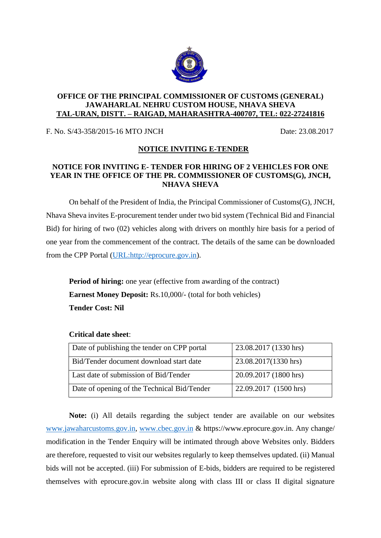

## **OFFICE OF THE PRINCIPAL COMMISSIONER OF CUSTOMS (GENERAL) JAWAHARLAL NEHRU CUSTOM HOUSE, NHAVA SHEVA TAL-URAN, DISTT. – RAIGAD, MAHARASHTRA-400707, TEL: 022-27241816**

F. No. S/43-358/2015-16 MTO JNCH Date: 23.08.2017

## **NOTICE INVITING E-TENDER**

## **NOTICE FOR INVITING E- TENDER FOR HIRING OF 2 VEHICLES FOR ONE YEAR IN THE OFFICE OF THE PR. COMMISSIONER OF CUSTOMS(G), JNCH, NHAVA SHEVA**

On behalf of the President of India, the Principal Commissioner of Customs(G), JNCH, Nhava Sheva invites E-procurement tender under two bid system (Technical Bid and Financial Bid) for hiring of two (02) vehicles along with drivers on monthly hire basis for a period of one year from the commencement of the contract. The details of the same can be downloaded from the CPP Portal [\(URL:http://eprocure.gov.in\)](http://eprocure.gov.in/).

**Period of hiring:** one year (effective from awarding of the contract) **Earnest Money Deposit:** Rs.10,000/- (total for both vehicles) **Tender Cost: Nil**

| Date of publishing the tender on CPP portal | 23.08.2017 (1330 hrs) |
|---------------------------------------------|-----------------------|
| Bid/Tender document download start date     | 23.08.2017(1330 hrs)  |
| Last date of submission of Bid/Tender       | 20.09.2017 (1800 hrs) |
| Date of opening of the Technical Bid/Tender | 22.09.2017 (1500 hrs) |

## **Critical date sheet**:

**Note:** (i) All details regarding the subject tender are available on our websites [www.jawaharcustoms.gov.in,](http://www.jawaharcustoms.gov.in/) [www.cbec.gov.in](http://www.cbec.gov.in/) & https://www.eprocure.gov.in. Any change/ modification in the Tender Enquiry will be intimated through above Websites only. Bidders are therefore, requested to visit our websites regularly to keep themselves updated. (ii) Manual bids will not be accepted. (iii) For submission of E-bids, bidders are required to be registered themselves with eprocure.gov.in website along with class III or class II digital signature